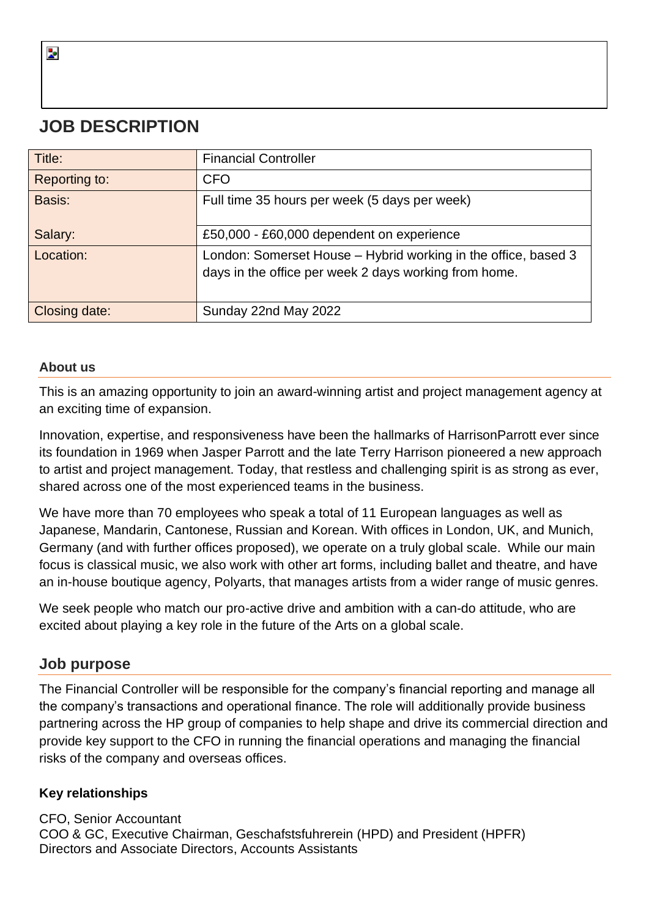# **JOB DESCRIPTION**

| Title:        | <b>Financial Controller</b>                                                                                             |
|---------------|-------------------------------------------------------------------------------------------------------------------------|
| Reporting to: | <b>CFO</b>                                                                                                              |
| Basis:        | Full time 35 hours per week (5 days per week)                                                                           |
| Salary:       | £50,000 - £60,000 dependent on experience                                                                               |
| Location:     | London: Somerset House – Hybrid working in the office, based 3<br>days in the office per week 2 days working from home. |
| Closing date: | Sunday 22nd May 2022                                                                                                    |

#### **About us**

This is an amazing opportunity to join an award-winning artist and project management agency at an exciting time of expansion.

Innovation, expertise, and responsiveness have been the hallmarks of HarrisonParrott ever since its foundation in 1969 when Jasper Parrott and the late Terry Harrison pioneered a new approach to artist and project management. Today, that restless and challenging spirit is as strong as ever, shared across one of the most experienced teams in the business.

We have more than 70 employees who speak a total of 11 European languages as well as Japanese, Mandarin, Cantonese, Russian and Korean. With offices in London, UK, and Munich, Germany (and with further offices proposed), we operate on a truly global scale. While our main focus is classical music, we also work with other art forms, including ballet and theatre, and have an in-house boutique agency, Polyarts, that manages artists from a wider range of music genres.

We seek people who match our pro-active drive and ambition with a can-do attitude, who are excited about playing a key role in the future of the Arts on a global scale.

### **Job purpose**

The Financial Controller will be responsible for the company's financial reporting and manage all the company's transactions and operational finance. The role will additionally provide business partnering across the HP group of companies to help shape and drive its commercial direction and provide key support to the CFO in running the financial operations and managing the financial risks of the company and overseas offices.

### **Key relationships**

CFO, Senior Accountant COO & GC, Executive Chairman, Geschafstsfuhrerein (HPD) and President (HPFR) Directors and Associate Directors, Accounts Assistants

Þ.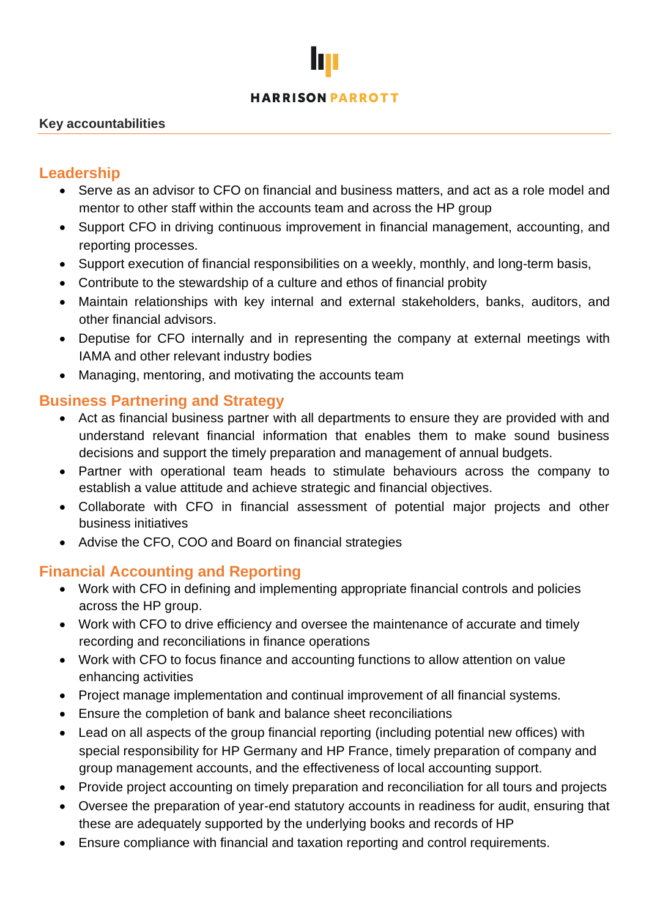### **HARRISON PARROTT**

Im

#### **Key accountabilities**

### **Leadership**

- Serve as an advisor to CFO on financial and business matters, and act as a role model and mentor to other staff within the accounts team and across the HP group
- Support CFO in driving continuous improvement in financial management, accounting, and reporting processes.
- Support execution of financial responsibilities on a weekly, monthly, and long-term basis,
- Contribute to the stewardship of a culture and ethos of financial probity
- Maintain relationships with key internal and external stakeholders, banks, auditors, and other financial advisors.
- Deputise for CFO internally and in representing the company at external meetings with IAMA and other relevant industry bodies
- Managing, mentoring, and motivating the accounts team

### **Business Partnering and Strategy**

- Act as financial business partner with all departments to ensure they are provided with and understand relevant financial information that enables them to make sound business decisions and support the timely preparation and management of annual budgets.
- Partner with operational team heads to stimulate behaviours across the company to establish a value attitude and achieve strategic and financial objectives.
- Collaborate with CFO in financial assessment of potential major projects and other business initiatives
- Advise the CFO, COO and Board on financial strategies

### **Financial Accounting and Reporting**

- Work with CFO in defining and implementing appropriate financial controls and policies across the HP group.
- Work with CFO to drive efficiency and oversee the maintenance of accurate and timely recording and reconciliations in finance operations
- Work with CFO to focus finance and accounting functions to allow attention on value enhancing activities
- Project manage implementation and continual improvement of all financial systems.
- Ensure the completion of bank and balance sheet reconciliations
- Lead on all aspects of the group financial reporting (including potential new offices) with special responsibility for HP Germany and HP France, timely preparation of company and group management accounts, and the effectiveness of local accounting support.
- Provide project accounting on timely preparation and reconciliation for all tours and projects
- Oversee the preparation of year-end statutory accounts in readiness for audit, ensuring that these are adequately supported by the underlying books and records of HP
- Ensure compliance with financial and taxation reporting and control requirements.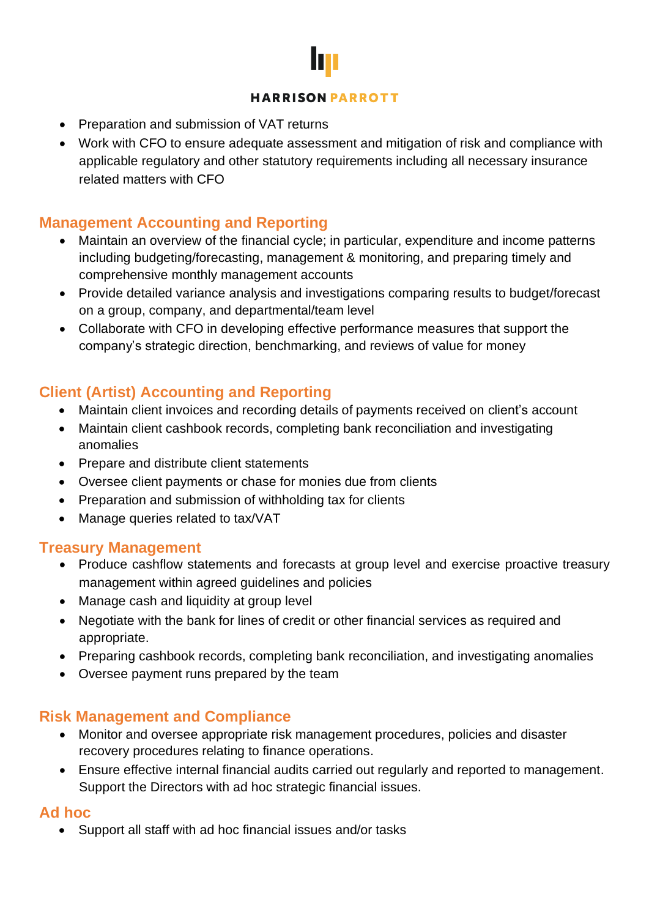

Im

- Preparation and submission of VAT returns
- Work with CFO to ensure adequate assessment and mitigation of risk and compliance with applicable regulatory and other statutory requirements including all necessary insurance related matters with CFO

# **Management Accounting and Reporting**

- Maintain an overview of the financial cycle; in particular, expenditure and income patterns including budgeting/forecasting, management & monitoring, and preparing timely and comprehensive monthly management accounts
- Provide detailed variance analysis and investigations comparing results to budget/forecast on a group, company, and departmental/team level
- Collaborate with CFO in developing effective performance measures that support the company's strategic direction, benchmarking, and reviews of value for money

# **Client (Artist) Accounting and Reporting**

- Maintain client invoices and recording details of payments received on client's account
- Maintain client cashbook records, completing bank reconciliation and investigating anomalies
- Prepare and distribute client statements
- Oversee client payments or chase for monies due from clients
- Preparation and submission of withholding tax for clients
- Manage queries related to tax/VAT

### **Treasury Management**

- Produce cashflow statements and forecasts at group level and exercise proactive treasury management within agreed guidelines and policies
- Manage cash and liquidity at group level
- Negotiate with the bank for lines of credit or other financial services as required and appropriate.
- Preparing cashbook records, completing bank reconciliation, and investigating anomalies
- Oversee payment runs prepared by the team

## **Risk Management and Compliance**

- Monitor and oversee appropriate risk management procedures, policies and disaster recovery procedures relating to finance operations.
- Ensure effective internal financial audits carried out regularly and reported to management. Support the Directors with ad hoc strategic financial issues.

## **Ad hoc**

• Support all staff with ad hoc financial issues and/or tasks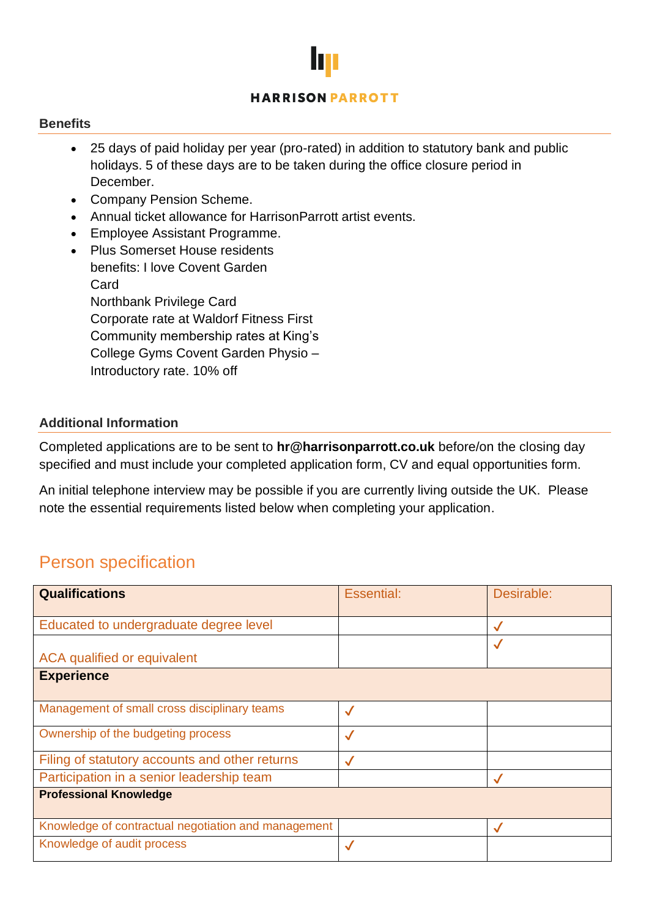

Im

#### **Benefits**

- 25 days of paid holiday per year (pro-rated) in addition to statutory bank and public holidays. 5 of these days are to be taken during the office closure period in December.
- Company Pension Scheme.
- Annual ticket allowance for HarrisonParrott artist events.
- Employee Assistant Programme.
- Plus Somerset House residents benefits: I love Covent Garden Card Northbank Privilege Card Corporate rate at Waldorf Fitness First Community membership rates at King's College Gyms Covent Garden Physio – Introductory rate. 10% off

#### **Additional Information**

Completed applications are to be sent to **hr@harrisonparrott.co.uk** before/on the closing day specified and must include your completed application form, CV and equal opportunities form.

An initial telephone interview may be possible if you are currently living outside the UK. Please note the essential requirements listed below when completing your application.

# Person specification

| <b>Qualifications</b>                               | <b>Essential:</b> | Desirable:   |  |  |
|-----------------------------------------------------|-------------------|--------------|--|--|
| Educated to undergraduate degree level              |                   | $\checkmark$ |  |  |
| ACA qualified or equivalent                         |                   | $\checkmark$ |  |  |
| <b>Experience</b>                                   |                   |              |  |  |
| Management of small cross disciplinary teams        | $\checkmark$      |              |  |  |
| Ownership of the budgeting process                  | $\checkmark$      |              |  |  |
| Filing of statutory accounts and other returns      | $\checkmark$      |              |  |  |
| Participation in a senior leadership team           |                   | $\sqrt{}$    |  |  |
| <b>Professional Knowledge</b>                       |                   |              |  |  |
| Knowledge of contractual negotiation and management |                   | $\checkmark$ |  |  |
| Knowledge of audit process                          | $\checkmark$      |              |  |  |